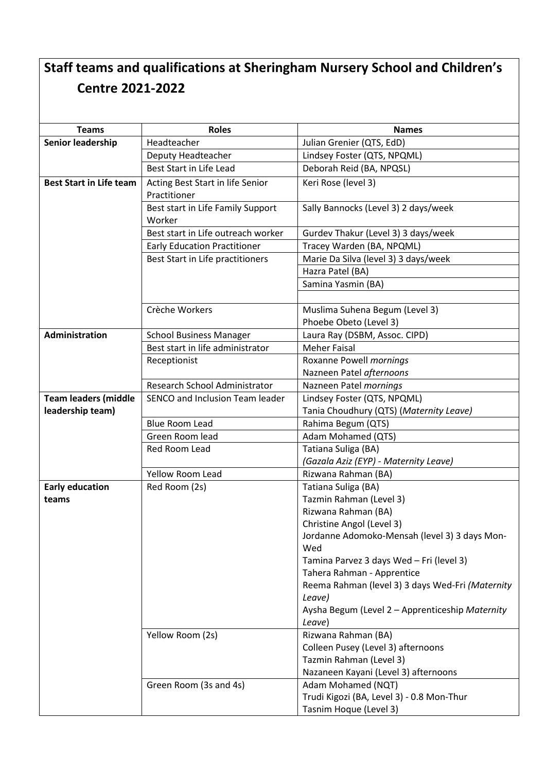## **Staff teams and qualifications at Sheringham Nursery School and Children's Centre 2021-2022**

| <b>Teams</b>                   | <b>Roles</b>                                     | <b>Names</b>                                               |
|--------------------------------|--------------------------------------------------|------------------------------------------------------------|
| <b>Senior leadership</b>       | Headteacher                                      | Julian Grenier (QTS, EdD)                                  |
|                                | Deputy Headteacher                               | Lindsey Foster (QTS, NPQML)                                |
|                                | Best Start in Life Lead                          | Deborah Reid (BA, NPQSL)                                   |
| <b>Best Start in Life team</b> |                                                  |                                                            |
|                                | Acting Best Start in life Senior<br>Practitioner | Keri Rose (level 3)                                        |
|                                | Best start in Life Family Support                | Sally Bannocks (Level 3) 2 days/week                       |
|                                | Worker                                           |                                                            |
|                                | Best start in Life outreach worker               | Gurdev Thakur (Level 3) 3 days/week                        |
|                                | <b>Early Education Practitioner</b>              | Tracey Warden (BA, NPQML)                                  |
|                                | Best Start in Life practitioners                 | Marie Da Silva (level 3) 3 days/week                       |
|                                |                                                  | Hazra Patel (BA)                                           |
|                                |                                                  | Samina Yasmin (BA)                                         |
|                                |                                                  |                                                            |
|                                | Crèche Workers                                   | Muslima Suhena Begum (Level 3)                             |
|                                |                                                  | Phoebe Obeto (Level 3)                                     |
| <b>Administration</b>          | <b>School Business Manager</b>                   | Laura Ray (DSBM, Assoc. CIPD)                              |
|                                | Best start in life administrator                 | <b>Meher Faisal</b>                                        |
|                                | Receptionist                                     | Roxanne Powell mornings                                    |
|                                |                                                  | Nazneen Patel afternoons                                   |
|                                | Research School Administrator                    | Nazneen Patel mornings                                     |
| <b>Team leaders (middle</b>    | SENCO and Inclusion Team leader                  | Lindsey Foster (QTS, NPQML)                                |
| leadership team)               |                                                  | Tania Choudhury (QTS) (Maternity Leave)                    |
|                                | <b>Blue Room Lead</b>                            | Rahima Begum (QTS)                                         |
|                                | Green Room lead                                  | Adam Mohamed (QTS)                                         |
|                                | Red Room Lead                                    | Tatiana Suliga (BA)                                        |
|                                |                                                  | (Gazala Aziz (EYP) - Maternity Leave)                      |
|                                | <b>Yellow Room Lead</b>                          | Rizwana Rahman (BA)                                        |
| <b>Early education</b>         | Red Room (2s)                                    | Tatiana Suliga (BA)                                        |
| teams                          |                                                  | Tazmin Rahman (Level 3)                                    |
|                                |                                                  | Rizwana Rahman (BA)                                        |
|                                |                                                  | Christine Angol (Level 3)                                  |
|                                |                                                  | Jordanne Adomoko-Mensah (level 3) 3 days Mon-              |
|                                |                                                  | Wed                                                        |
|                                |                                                  | Tamina Parvez 3 days Wed - Fri (level 3)                   |
|                                |                                                  | Tahera Rahman - Apprentice                                 |
|                                |                                                  | Reema Rahman (level 3) 3 days Wed-Fri (Maternity<br>Leave) |
|                                |                                                  | Aysha Begum (Level 2 - Apprenticeship Maternity            |
|                                |                                                  | Leave)                                                     |
|                                | Yellow Room (2s)                                 | Rizwana Rahman (BA)                                        |
|                                |                                                  | Colleen Pusey (Level 3) afternoons                         |
|                                |                                                  | Tazmin Rahman (Level 3)                                    |
|                                |                                                  | Nazaneen Kayani (Level 3) afternoons                       |
|                                | Green Room (3s and 4s)                           | Adam Mohamed (NQT)                                         |
|                                |                                                  | Trudi Kigozi (BA, Level 3) - 0.8 Mon-Thur                  |
|                                |                                                  | Tasnim Hoque (Level 3)                                     |